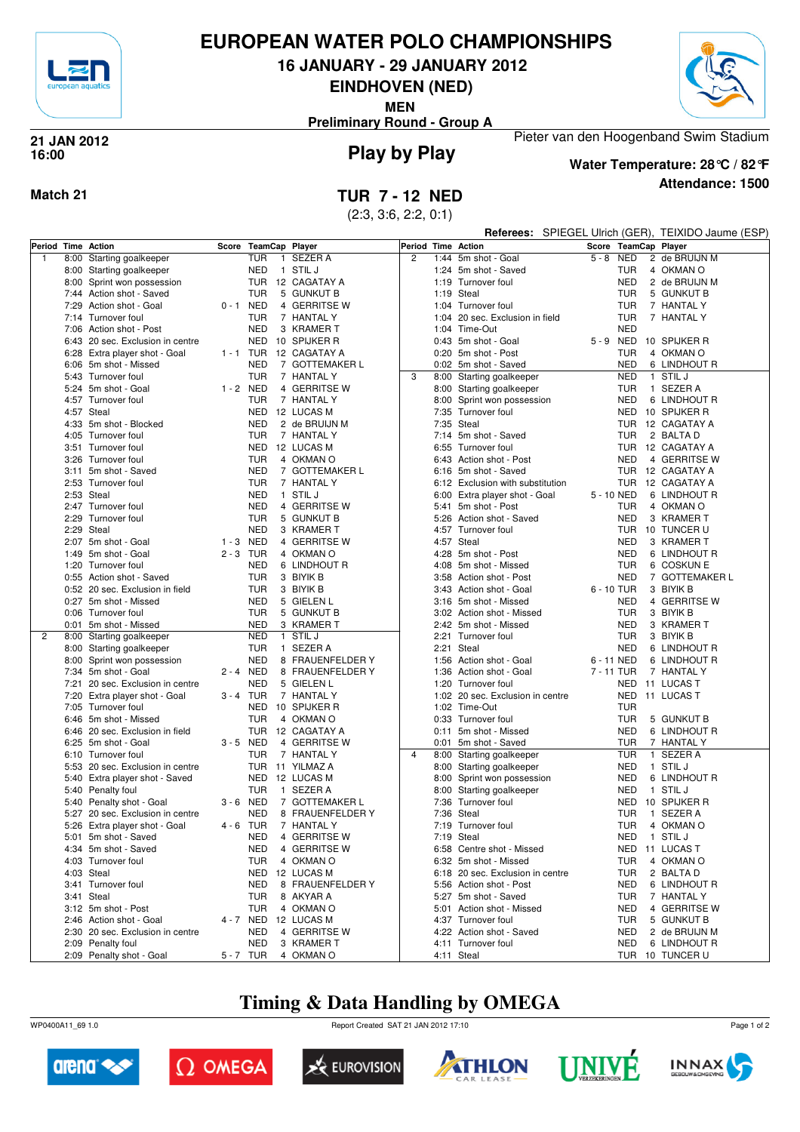

# **EUROPEAN WATER POLO CHAMPIONSHIPS**

**16 JANUARY - 29 JANUARY 2012**

**EINDHOVEN (NED)**

**MEN**

**Preliminary Round - Group A**



## **Play by Play 21 JAN 2012 16:00**



**Attendance: 1500 Water Temperature: 28°C / 82°F**

Pieter van den Hoogenband Swim Stadium

## **Match 21 TUR 7 - 12 NED**

(2:3, 3:6, 2:2, 0:1)

|   |      |                                  |             |                |                        |                    |                                  |            |            | Referees: SPIEGEL Ulrich (GER), TEIXIDO Jaume (ESP) |
|---|------|----------------------------------|-------------|----------------|------------------------|--------------------|----------------------------------|------------|------------|-----------------------------------------------------|
|   |      | Period Time Action               | Score       | TeamCap Player |                        | Period Time Action |                                  |            |            | Score TeamCap Player                                |
| 1 |      | 8:00 Starting goalkeeper         |             | <b>TUR</b>     | 1 SEZER A              | $\overline{c}$     | 1:44 5m shot - Goal              | $5 - 8$    | NED        | 2 de BRUIJN M                                       |
|   |      | 8:00 Starting goalkeeper         |             | NED            | 1 STIL J               |                    | 1:24 5m shot - Saved             |            | <b>TUR</b> | 4 OKMAN O                                           |
|   |      | 8:00 Sprint won possession       |             |                | TUR 12 CAGATAY A       |                    | 1:19 Turnover foul               |            | <b>NED</b> | 2 de BRUIJN M                                       |
|   |      | 7:44 Action shot - Saved         |             | <b>TUR</b>     | 5 GUNKUT B             |                    | 1:19 Steal                       |            | <b>TUR</b> | 5 GUNKUT B                                          |
|   |      | 7:29 Action shot - Goal          | $0 - 1$     | NED            | 4 GERRITSE W           |                    | 1:04 Turnover foul               |            | TUR        | 7 HANTAL Y                                          |
|   |      | 7:14 Turnover foul               |             | <b>TUR</b>     | 7 HANTAL Y             |                    | 1:04 20 sec. Exclusion in field  |            | <b>TUR</b> | 7 HANTAL Y                                          |
|   |      | 7:06 Action shot - Post          |             | <b>NED</b>     | 3 KRAMER T             |                    | 1:04 Time-Out                    |            | <b>NED</b> |                                                     |
|   |      | 6:43 20 sec. Exclusion in centre |             |                | NED 10 SPIJKER R       |                    | 0:43 5m shot - Goal              | 5-9 NED    |            | 10 SPIJKER R                                        |
|   |      | 6:28 Extra player shot - Goal    |             |                | 1 - 1 TUR 12 CAGATAY A |                    | 0:20 5m shot - Post              |            | <b>TUR</b> | 4 OKMAN O                                           |
|   |      | 6:06 5m shot - Missed            |             | <b>NED</b>     | 7 GOTTEMAKER L         |                    | 0:02 5m shot - Saved             |            | <b>NED</b> | 6 LINDHOUT R                                        |
|   |      | 5:43 Turnover foul               |             | <b>TUR</b>     | 7 HANTAL Y             | 3                  | 8:00 Starting goalkeeper         |            | <b>NED</b> | 1 STIL J                                            |
|   |      | 5:24 5m shot - Goal              | 1 - 2 NED   |                | 4 GERRITSE W           |                    | 8:00 Starting goalkeeper         |            | <b>TUR</b> | 1 SEZER A                                           |
|   |      | 4:57 Turnover foul               |             | <b>TUR</b>     | 7 HANTAL Y             |                    | 8:00 Sprint won possession       |            | <b>NED</b> | 6 LINDHOUT R                                        |
|   |      | 4:57 Steal                       |             |                | NED 12 LUCAS M         |                    | 7:35 Turnover foul               |            | <b>NED</b> | 10 SPIJKER R                                        |
|   |      | 4:33 5m shot - Blocked           |             | <b>NED</b>     | 2 de BRUIJN M          |                    | 7:35 Steal                       |            | <b>TUR</b> | 12 CAGATAY A                                        |
|   |      | 4:05 Turnover foul               |             | <b>TUR</b>     | 7 HANTAL Y             |                    | 7:14 5m shot - Saved             |            | TUR        | 2 BALTA D                                           |
|   |      | 3:51 Turnover foul               |             | NED            | 12 LUCAS M             |                    | 6:55 Turnover foul               |            | TUR.       | 12 CAGATAY A                                        |
|   |      | 3:26 Turnover foul               |             | <b>TUR</b>     | 4 OKMAN O              |                    | 6:43 Action shot - Post          |            | <b>NED</b> | 4 GERRITSE W                                        |
|   |      | 3:11 5m shot - Saved             |             | <b>NED</b>     | 7 GOTTEMAKER L         |                    | 6:16 5m shot - Saved             |            | TUR        | 12 CAGATAY A                                        |
|   |      | 2:53 Turnover foul               |             | <b>TUR</b>     | 7 HANTAL Y             |                    | 6:12 Exclusion with substitution |            | <b>TUR</b> | 12 CAGATAY A                                        |
|   |      | 2:53 Steal                       |             | <b>NED</b>     | 1 STIL J               |                    | 6:00 Extra player shot - Goal    | 5 - 10 NED |            | 6 LINDHOUT R                                        |
|   |      | 2:47 Turnover foul               |             | <b>NED</b>     | 4 GERRITSE W           |                    | 5:41 5m shot - Post              |            | <b>TUR</b> | 4 OKMAN O                                           |
|   |      | 2:29 Turnover foul               |             | <b>TUR</b>     | 5 GUNKUT B             |                    | 5:26 Action shot - Saved         |            | <b>NED</b> | 3 KRAMER T                                          |
|   |      | 2:29 Steal                       |             | <b>NED</b>     | 3 KRAMER T             |                    | 4:57 Turnover foul               |            | TUR        | 10 TUNCER U                                         |
|   |      | 2:07 5m shot - Goal              | 1 - 3 NED   |                | 4 GERRITSE W           |                    | 4:57 Steal                       |            | <b>NED</b> | 3 KRAMER T                                          |
|   |      | 1:49 5m shot - Goal              | $2 - 3$ TUR |                | 4 OKMAN O              |                    | 4:28 5m shot - Post              |            | <b>NED</b> | 6 LINDHOUT R                                        |
|   |      | 1:20 Turnover foul               |             | <b>NED</b>     | 6 LINDHOUT R           |                    | 4:08 5m shot - Missed            |            | <b>TUR</b> | 6 COSKUN E                                          |
|   |      | 0:55 Action shot - Saved         |             | <b>TUR</b>     | 3 BIYIK B              |                    | 3:58 Action shot - Post          |            | <b>NED</b> | 7 GOTTEMAKER L                                      |
|   |      | 0:52 20 sec. Exclusion in field  |             | <b>TUR</b>     | 3 BIYIK B              |                    | 3:43 Action shot - Goal          | 6 - 10 TUR |            | 3 BIYIK B                                           |
|   |      | 0:27 5m shot - Missed            |             | <b>NED</b>     | 5 GIELEN L             |                    | 3:16 5m shot - Missed            |            | <b>NED</b> | 4 GERRITSE W                                        |
|   |      | 0:06 Turnover foul               |             | <b>TUR</b>     | 5 GUNKUT B             |                    | 3:02 Action shot - Missed        |            | <b>TUR</b> | 3 BIYIK B                                           |
|   |      | 0:01 5m shot - Missed            |             | <b>NED</b>     | 3 KRAMER T             |                    | 2:42 5m shot - Missed            |            | <b>NED</b> | 3 KRAMER T                                          |
| 2 |      | 8:00 Starting goalkeeper         |             | <b>NED</b>     | 1 STIL J               |                    | 2:21 Turnover foul               |            | <b>TUR</b> | 3 BIYIK B                                           |
|   |      | 8:00 Starting goalkeeper         |             | <b>TUR</b>     | 1 SEZER A              |                    | 2:21 Steal                       |            | <b>NED</b> | 6 LINDHOUT R                                        |
|   |      | 8:00 Sprint won possession       |             | <b>NED</b>     | 8 FRAUENFELDER Y       |                    | 1:56 Action shot - Goal          | 6 - 11 NED |            | 6 LINDHOUT R                                        |
|   |      | 7:34 5m shot - Goal              | 2 - 4 NED   |                | 8 FRAUENFELDER Y       |                    | 1:36 Action shot - Goal          | 7 - 11 TUR |            | 7 HANTAL Y                                          |
|   |      | 7:21 20 sec. Exclusion in centre |             | <b>NED</b>     | 5 GIELEN L             |                    | 1:20 Turnover foul               |            | <b>NED</b> | 11 LUCAS T                                          |
|   |      | 7:20 Extra player shot - Goal    | 3-4 TUR     |                | 7 HANTAL Y             |                    | 1:02 20 sec. Exclusion in centre |            | NED        | 11 LUCAS T                                          |
|   |      | 7:05 Turnover foul               |             | NED            | 10 SPIJKER R           |                    | 1:02 Time-Out                    |            | <b>TUR</b> |                                                     |
|   |      | 6:46 5m shot - Missed            |             | <b>TUR</b>     | 4 OKMAN O              |                    | 0:33 Turnover foul               |            | <b>TUR</b> | 5 GUNKUT B                                          |
|   | 6:46 | 20 sec. Exclusion in field       |             |                | TUR 12 CAGATAY A       |                    | 0:11 5m shot - Missed            |            | <b>NED</b> | 6 LINDHOUT R                                        |
|   |      | 6:25 5m shot - Goal              | $3 - 5$ NED |                | 4 GERRITSE W           |                    | 0:01 5m shot - Saved             |            | <b>TUR</b> | 7 HANTAL Y                                          |
|   |      | 6:10 Turnover foul               |             | <b>TUR</b>     | 7 HANTAL Y             | 4                  | 8:00 Starting goalkeeper         |            | <b>TUR</b> | 1 SEZER A                                           |
|   |      | 5:53 20 sec. Exclusion in centre |             |                | TUR 11 YILMAZ A        |                    | 8:00 Starting goalkeeper         |            | NED        | 1 STIL J                                            |
|   |      | 5:40 Extra player shot - Saved   |             |                | NED 12 LUCAS M         |                    | 8:00 Sprint won possession       |            | NED        | 6 LINDHOUT R                                        |
|   |      | 5:40 Penalty foul                |             | TUR            | 1 SEZER A              |                    | 8:00 Starting goalkeeper         |            | <b>NED</b> | 1 STIL J                                            |
|   |      | 5:40 Penalty shot - Goal         | $3 - 6$ NED |                | 7 GOTTEMAKER L         |                    | 7:36 Turnover foul               |            | <b>NED</b> | 10 SPIJKER R                                        |
|   |      | 5:27 20 sec. Exclusion in centre |             | <b>NED</b>     | 8 FRAUENFELDER Y       |                    | 7:36 Steal                       |            | <b>TUR</b> | 1 SEZER A                                           |
|   |      | 5:26 Extra player shot - Goal    |             |                | 4 - 6 TUR 7 HANTAL Y   |                    | 7:19 Turnover foul               |            | TUR        | 4 OKMAN O                                           |
|   |      | 5:01 5m shot - Saved             |             |                | NED 4 GERRITSE W       |                    | 7:19 Steal                       |            |            | NED 1 STIL J                                        |
|   |      | 4:34 5m shot - Saved             |             | NED            | 4 GERRITSE W           |                    | 6:58 Centre shot - Missed        |            |            | NED 11 LUCAS T                                      |
|   |      | 4:03 Turnover foul               |             | TUR            | 4 OKMAN O              |                    | 6:32 5m shot - Missed            |            | <b>TUR</b> | 4 OKMAN O                                           |
|   |      | 4:03 Steal                       |             |                | NED 12 LUCAS M         |                    | 6:18 20 sec. Exclusion in centre |            | TUR        | 2 BALTA D                                           |
|   |      | 3:41 Turnover foul               |             | NED            | 8 FRAUENFELDER Y       |                    | 5:56 Action shot - Post          |            | <b>NED</b> | 6 LINDHOUT R                                        |
|   |      | 3:41 Steal                       |             | <b>TUR</b>     | 8 AKYAR A              |                    | 5:27 5m shot - Saved             |            | TUR        | 7 HANTAL Y                                          |
|   |      | 3:12 5m shot - Post              |             | TUR            | 4 OKMAN O              |                    | 5:01 Action shot - Missed        |            | <b>NED</b> | 4 GERRITSE W                                        |
|   |      | 2:46 Action shot - Goal          |             |                | 4 - 7 NED 12 LUCAS M   |                    | 4:37 Turnover foul               |            | <b>TUR</b> | 5 GUNKUT B                                          |
|   |      | 2:30 20 sec. Exclusion in centre |             | NED            | 4 GERRITSE W           |                    | 4:22 Action shot - Saved         |            | <b>NED</b> | 2 de BRUIJN M                                       |
|   |      | 2:09 Penalty foul                |             | NED            | 3 KRAMER T             |                    | 4:11 Turnover foul               |            | NED        | 6 LINDHOUT R                                        |
|   |      | 2:09 Penalty shot - Goal         | 5-7 TUR     |                | 4 OKMAN O              |                    | 4:11 Steal                       |            |            | TUR 10 TUNCER U                                     |

# **Timing & Data Handling by OMEGA**

WP0400A11\_69 1.0 Report Created SAT 21 JAN 2012 17:10













Page 1 of 2